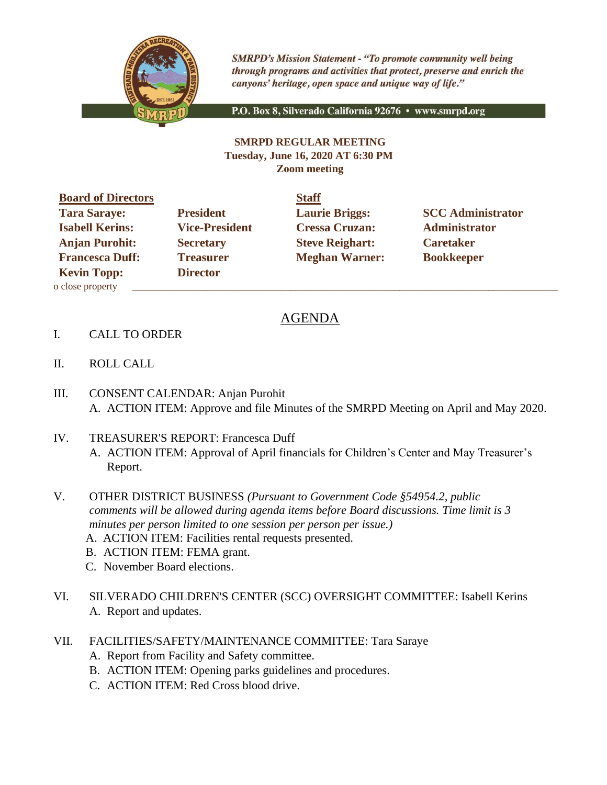

**SMRPD's Mission Statement - "To promote community well being** through programs and activities that protect, preserve and enrich the canyons' heritage, open space and unique way of life."

P.O. Box 8, Silverado California 92676 · www.smrpd.org

## **SMRPD REGULAR MEETING Tuesday, June 16, 2020 AT 6:30 PM Zoom meeting**

| <b>Board of Directors</b> |                       | <b>Staff</b> |
|---------------------------|-----------------------|--------------|
| <b>Tara Saraye:</b>       | <b>President</b>      | Laur         |
| <b>Isabell Kerins:</b>    | <b>Vice-President</b> | <b>Cres</b>  |
| <b>Anjan Purohit:</b>     | <b>Secretary</b>      | <b>Steve</b> |
| <b>Francesca Duff:</b>    | <b>Treasurer</b>      | Megl         |
| <b>Kevin Topp:</b>        | <b>Director</b>       |              |
| o close property          |                       |              |

**Isabell Kering Cressa Cruzan:** Administrator **Administrator Angle 2 Angle 2 Puriod Steve Reighart: Caretaker Freasurer Meghan Warner: Bookkeeper** 

**Tarabeteur Laurie Briggs:** SCC Administrator

## AGENDA

- I. CALL TO ORDER
- II. ROLL CALL
- III. CONSENT CALENDAR: Anjan Purohit A. ACTION ITEM: Approve and file Minutes of the SMRPD Meeting on April and May 2020.
- IV. TREASURER'S REPORT: Francesca Duff A. ACTION ITEM: Approval of April financials for Children's Center and May Treasurer's Report.
- V. OTHER DISTRICT BUSINESS *(Pursuant to Government Code §54954.2, public comments will be allowed during agenda items before Board discussions. Time limit is 3 minutes per person limited to one session per person per issue.)*
	- A. ACTION ITEM: Facilities rental requests presented.
	- B. ACTION ITEM: FEMA grant.
	- C. November Board elections.
- VI. SILVERADO CHILDREN'S CENTER (SCC) OVERSIGHT COMMITTEE: Isabell Kerins A. Report and updates.
- VII. FACILITIES/SAFETY/MAINTENANCE COMMITTEE: Tara Saraye
	- A. Report from Facility and Safety committee.
	- B. ACTION ITEM: Opening parks guidelines and procedures.
	- C. ACTION ITEM: Red Cross blood drive.